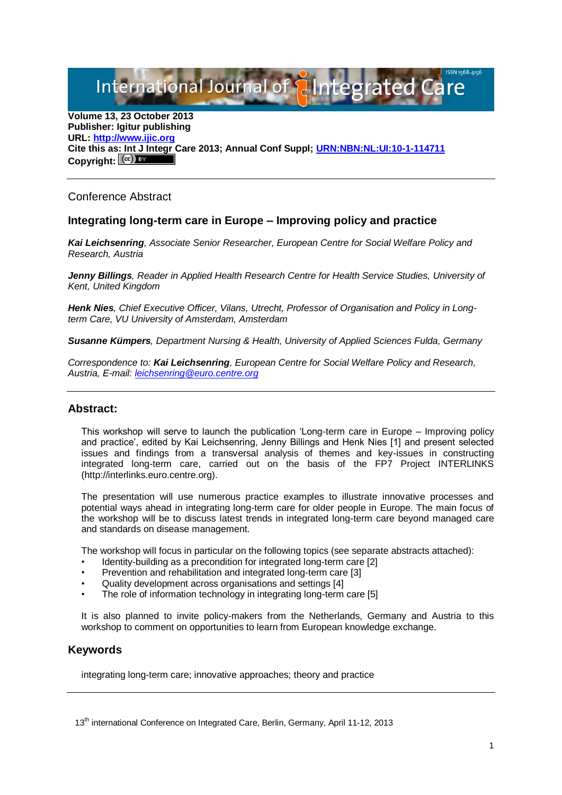International Journal of **Plantegrated** C

**Volume 13, 23 October 2013 Publisher: Igitur publishing URL[: http://www.ijic.org](http://www.ijic.org/) Cite this as: Int J Integr Care 2013; Annual Conf Suppl; [URN:NBN:NL:UI:10-1-114711](http://persistent-identifier.nl/?identifier=URN:NBN:NL:UI:10-1-114711)** Copyright:  $(cc)$  BY

Conference Abstract

## **Integrating long-term care in Europe – Improving policy and practice**

*Kai Leichsenring, Associate Senior Researcher, European Centre for Social Welfare Policy and Research, Austria*

*Jenny Billings, Reader in Applied Health Research Centre for Health Service Studies, University of Kent, United Kingdom*

*Henk Nies, Chief Executive Officer, Vilans, Utrecht, Professor of Organisation and Policy in Longterm Care, VU University of Amsterdam, Amsterdam*

*Susanne Kümpers, Department Nursing & Health, University of Applied Sciences Fulda, Germany*

*Correspondence to: Kai Leichsenring, European Centre for Social Welfare Policy and Research, Austria, E-mail: [leichsenring@euro.centre.org](mailto:leichsenring@euro.centre.org)*

## **Abstract:**

This workshop will serve to launch the publication 'Long-term care in Europe – Improving policy and practice', edited by Kai Leichsenring, Jenny Billings and Henk Nies [1] and present selected issues and findings from a transversal analysis of themes and key-issues in constructing integrated long-term care, carried out on the basis of the FP7 Project INTERLINKS (http://interlinks.euro.centre.org).

The presentation will use numerous practice examples to illustrate innovative processes and potential ways ahead in integrating long-term care for older people in Europe. The main focus of the workshop will be to discuss latest trends in integrated long-term care beyond managed care and standards on disease management.

The workshop will focus in particular on the following topics (see separate abstracts attached):

- Identity-building as a precondition for integrated long-term care [2]
- Prevention and rehabilitation and integrated long-term care [3]
- Quality development across organisations and settings [4]
- The role of information technology in integrating long-term care [5]

It is also planned to invite policy-makers from the Netherlands, Germany and Austria to this workshop to comment on opportunities to learn from European knowledge exchange.

## **Keywords**

integrating long-term care; innovative approaches; theory and practice

13<sup>th</sup> international Conference on Integrated Care, Berlin, Germany, April 11-12, 2013